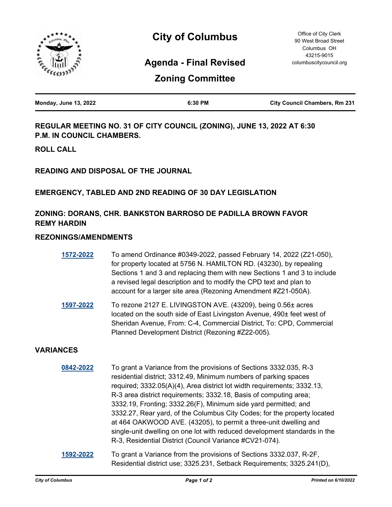

# **City of Columbus**

## **Agenda - Final Revised**

| <b>Zoning Committee</b> |
|-------------------------|
|                         |

| <b>Monday, June 13, 2022</b> | 6:30 PM | <b>City Council Chambers, Rm 231</b> |
|------------------------------|---------|--------------------------------------|
|                              |         |                                      |

**REGULAR MEETING NO. 31 OF CITY COUNCIL (ZONING), JUNE 13, 2022 AT 6:30 P.M. IN COUNCIL CHAMBERS.**

**ROLL CALL**

**READING AND DISPOSAL OF THE JOURNAL**

### **EMERGENCY, TABLED AND 2ND READING OF 30 DAY LEGISLATION**

## **ZONING: DORANS, CHR. BANKSTON BARROSO DE PADILLA BROWN FAVOR REMY HARDIN**

### **REZONINGS/AMENDMENTS**

| 1572-2022 | To amend Ordinance #0349-2022, passed February 14, 2022 (Z21-050),       |
|-----------|--------------------------------------------------------------------------|
|           | for property located at 5756 N. HAMILTON RD. (43230), by repealing       |
|           | Sections 1 and 3 and replacing them with new Sections 1 and 3 to include |
|           | a revised legal description and to modify the CPD text and plan to       |
|           | account for a larger site area (Rezoning Amendment #Z21-050A).           |
|           |                                                                          |

**[1597-2022](http://columbus.legistar.com/gateway.aspx?m=l&id=/matter.aspx?key=123117)** To rezone 2127 E. LIVINGSTON AVE. (43209), being 0.56± acres located on the south side of East Livingston Avenue, 490± feet west of Sheridan Avenue, From: C-4, Commercial District, To: CPD, Commercial Planned Development District (Rezoning #Z22-005).

## **VARIANCES**

| 0842-2022 | To grant a Variance from the provisions of Sections 3332.035, R-3<br>residential district; 3312.49, Minimum numbers of parking spaces<br>required; 3332.05(A)(4), Area district lot width requirements; 3332.13,<br>R-3 area district requirements; 3332.18, Basis of computing area;<br>3332.19, Fronting; 3332.26(F), Minimum side yard permitted; and<br>3332.27, Rear yard, of the Columbus City Codes; for the property located<br>at 464 OAKWOOD AVE. (43205), to permit a three-unit dwelling and<br>single-unit dwelling on one lot with reduced development standards in the<br>R-3, Residential District (Council Variance #CV21-074). |
|-----------|--------------------------------------------------------------------------------------------------------------------------------------------------------------------------------------------------------------------------------------------------------------------------------------------------------------------------------------------------------------------------------------------------------------------------------------------------------------------------------------------------------------------------------------------------------------------------------------------------------------------------------------------------|
| 1592-2022 | To grant a Variance from the provisions of Sections 3332.037, R-2F,                                                                                                                                                                                                                                                                                                                                                                                                                                                                                                                                                                              |

Residential district use; 3325.231, Setback Requirements; 3325.241(D),